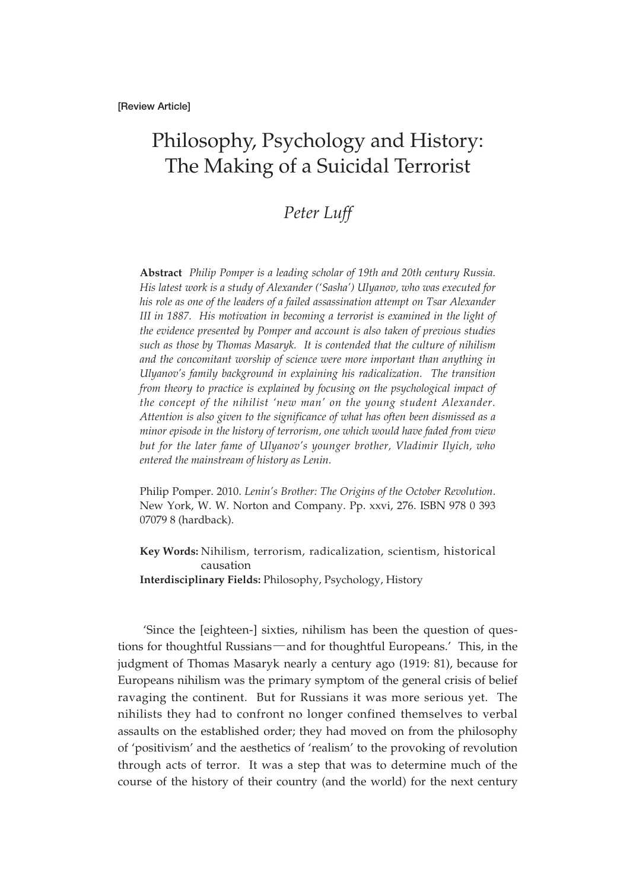## Philosophy, Psychology and History: The Making of a Suicidal Terrorist

## *Peter Luff*

**Abstract** *Philip Pomper is a leading scholar of 19th and 20th century Russia. His latest work is a study of Alexander ('Sasha') Ulyanov, who was executed for his role as one of the leaders of a failed assassination attempt on Tsar Alexander III in 1887. His motivation in becoming a terrorist is examined in the light of the evidence presented by Pomper and account is also taken of previous studies such as those by Thomas Masaryk. It is contended that the culture of nihilism and the concomitant worship of science were more important than anything in Ulyanov's family background in explaining his radicalization. The transition from theory to practice is explained by focusing on the psychological impact of the concept of the nihilist 'new man' on the young student Alexander. Attention is also given to the significance of what has often been dismissed as a minor episode in the history of terrorism, one which would have faded from view but for the later fame of Ulyanov's younger brother, Vladimir Ilyich, who entered the mainstream of history as Lenin.*

Philip Pomper. 2010. *Lenin's Brother: The Origins of the October Revolution*. New York, W. W. Norton and Company. Pp. xxvi, 276. ISBN 978 0 393 07079 8 (hardback).

**Key Words:** Nihilism, terrorism, radicalization, scientism, historical causation **Interdisciplinary Fields:** Philosophy, Psychology, History

'Since the [eighteen-] sixties, nihilism has been the question of questions for thoughtful Russians―and for thoughtful Europeans.' This, in the judgment of Thomas Masaryk nearly a century ago (1919: 81), because for Europeans nihilism was the primary symptom of the general crisis of belief ravaging the continent. But for Russians it was more serious yet. The nihilists they had to confront no longer confined themselves to verbal assaults on the established order; they had moved on from the philosophy of 'positivism' and the aesthetics of 'realism' to the provoking of revolution through acts of terror. It was a step that was to determine much of the course of the history of their country (and the world) for the next century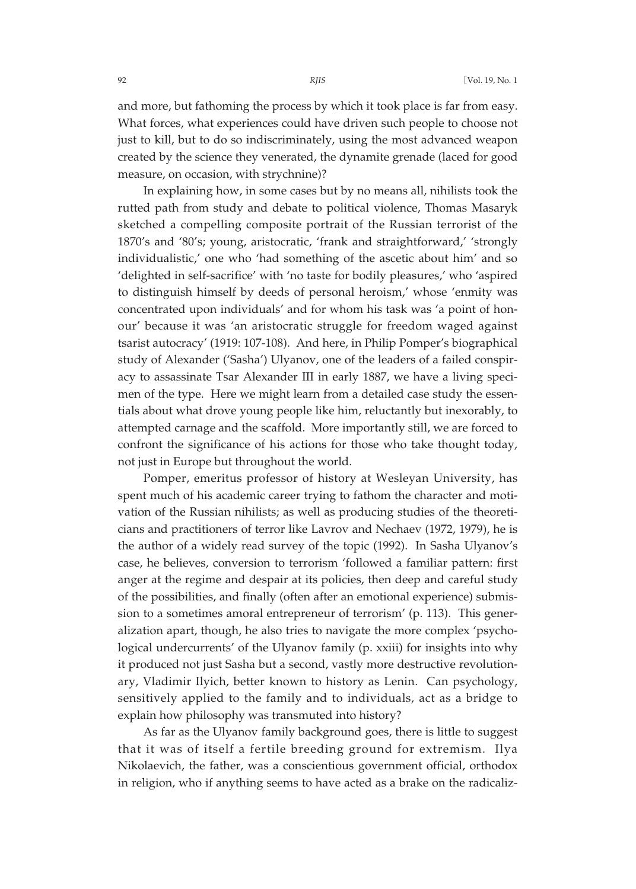and more, but fathoming the process by which it took place is far from easy. What forces, what experiences could have driven such people to choose not just to kill, but to do so indiscriminately, using the most advanced weapon created by the science they venerated, the dynamite grenade (laced for good measure, on occasion, with strychnine)?

In explaining how, in some cases but by no means all, nihilists took the rutted path from study and debate to political violence, Thomas Masaryk sketched a compelling composite portrait of the Russian terrorist of the 1870's and '80's; young, aristocratic, 'frank and straightforward,' 'strongly individualistic,' one who 'had something of the ascetic about him' and so 'delighted in self-sacrifice' with 'no taste for bodily pleasures,' who 'aspired to distinguish himself by deeds of personal heroism,' whose 'enmity was concentrated upon individuals' and for whom his task was 'a point of honour' because it was 'an aristocratic struggle for freedom waged against tsarist autocracy' (1919: 107-108). And here, in Philip Pomper's biographical study of Alexander ('Sasha') Ulyanov, one of the leaders of a failed conspiracy to assassinate Tsar Alexander III in early 1887, we have a living specimen of the type. Here we might learn from a detailed case study the essentials about what drove young people like him, reluctantly but inexorably, to attempted carnage and the scaffold. More importantly still, we are forced to confront the significance of his actions for those who take thought today, not just in Europe but throughout the world.

Pomper, emeritus professor of history at Wesleyan University, has spent much of his academic career trying to fathom the character and motivation of the Russian nihilists; as well as producing studies of the theoreticians and practitioners of terror like Lavrov and Nechaev (1972, 1979), he is the author of a widely read survey of the topic (1992). In Sasha Ulyanov's case, he believes, conversion to terrorism 'followed a familiar pattern: first anger at the regime and despair at its policies, then deep and careful study of the possibilities, and finally (often after an emotional experience) submission to a sometimes amoral entrepreneur of terrorism' (p. 113). This generalization apart, though, he also tries to navigate the more complex 'psychological undercurrents' of the Ulyanov family (p. xxiii) for insights into why it produced not just Sasha but a second, vastly more destructive revolutionary, Vladimir Ilyich, better known to history as Lenin. Can psychology, sensitively applied to the family and to individuals, act as a bridge to explain how philosophy was transmuted into history?

As far as the Ulyanov family background goes, there is little to suggest that it was of itself a fertile breeding ground for extremism. Ilya Nikolaevich, the father, was a conscientious government official, orthodox in religion, who if anything seems to have acted as a brake on the radicaliz-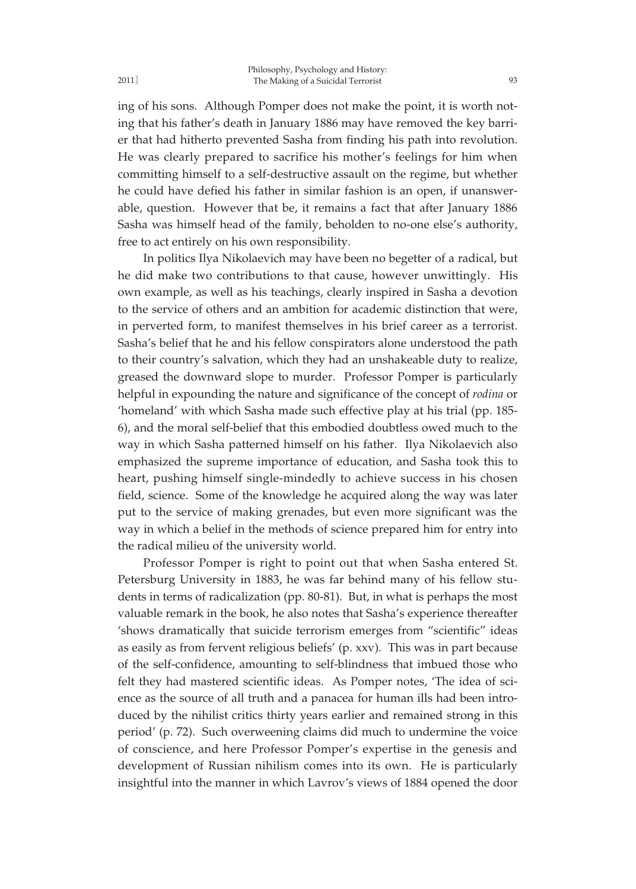ing that his father's death in January 1886 may have removed the key barrier that had hitherto prevented Sasha from finding his path into revolution. He was clearly prepared to sacrifice his mother's feelings for him when committing himself to a self-destructive assault on the regime, but whether he could have defied his father in similar fashion is an open, if unanswerable, question. However that be, it remains a fact that after January 1886 Sasha was himself head of the family, beholden to no-one else's authority, free to act entirely on his own responsibility.

In politics Ilya Nikolaevich may have been no begetter of a radical, but he did make two contributions to that cause, however unwittingly. His own example, as well as his teachings, clearly inspired in Sasha a devotion to the service of others and an ambition for academic distinction that were, in perverted form, to manifest themselves in his brief career as a terrorist. Sasha's belief that he and his fellow conspirators alone understood the path to their country's salvation, which they had an unshakeable duty to realize, greased the downward slope to murder. Professor Pomper is particularly helpful in expounding the nature and significance of the concept of *rodina* or 'homeland' with which Sasha made such effective play at his trial (pp. 185- 6), and the moral self-belief that this embodied doubtless owed much to the way in which Sasha patterned himself on his father. Ilya Nikolaevich also emphasized the supreme importance of education, and Sasha took this to heart, pushing himself single-mindedly to achieve success in his chosen field, science. Some of the knowledge he acquired along the way was later put to the service of making grenades, but even more significant was the way in which a belief in the methods of science prepared him for entry into the radical milieu of the university world.

Professor Pomper is right to point out that when Sasha entered St. Petersburg University in 1883, he was far behind many of his fellow students in terms of radicalization (pp. 80-81). But, in what is perhaps the most valuable remark in the book, he also notes that Sasha's experience thereafter 'shows dramatically that suicide terrorism emerges from "scientific" ideas as easily as from fervent religious beliefs' (p. xxv). This was in part because of the self-confidence, amounting to self-blindness that imbued those who felt they had mastered scientific ideas. As Pomper notes, 'The idea of science as the source of all truth and a panacea for human ills had been introduced by the nihilist critics thirty years earlier and remained strong in this period' (p. 72). Such overweening claims did much to undermine the voice of conscience, and here Professor Pomper's expertise in the genesis and development of Russian nihilism comes into its own. He is particularly insightful into the manner in which Lavrov's views of 1884 opened the door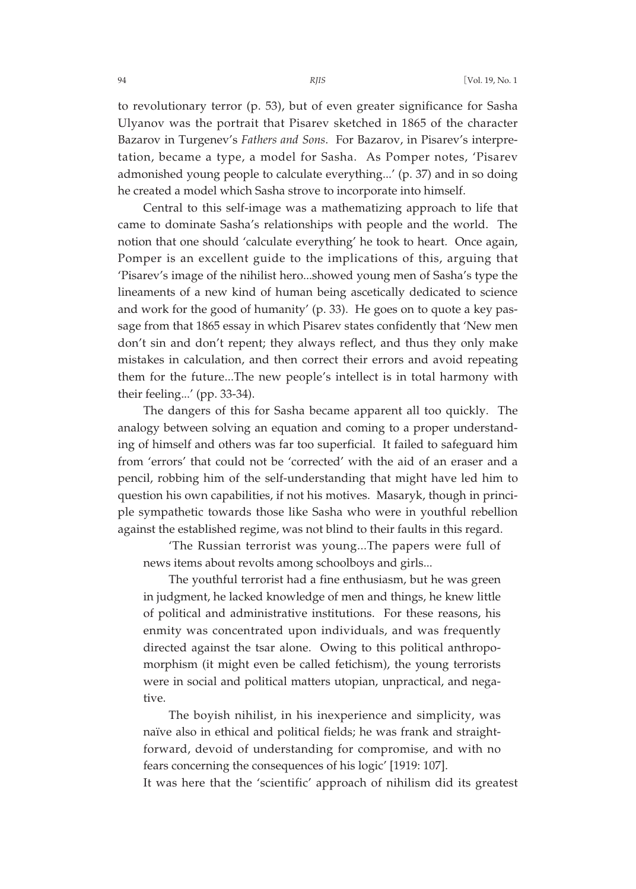to revolutionary terror (p. 53), but of even greater significance for Sasha Ulyanov was the portrait that Pisarev sketched in 1865 of the character Bazarov in Turgenev's *Fathers and Sons*. For Bazarov, in Pisarev's interpretation, became a type, a model for Sasha. As Pomper notes, 'Pisarev admonished young people to calculate everything...' (p. 37) and in so doing he created a model which Sasha strove to incorporate into himself.

Central to this self-image was a mathematizing approach to life that came to dominate Sasha's relationships with people and the world. The notion that one should 'calculate everything' he took to heart. Once again, Pomper is an excellent guide to the implications of this, arguing that 'Pisarev's image of the nihilist hero...showed young men of Sasha's type the lineaments of a new kind of human being ascetically dedicated to science and work for the good of humanity' (p. 33). He goes on to quote a key passage from that 1865 essay in which Pisarev states confidently that 'New men don't sin and don't repent; they always reflect, and thus they only make mistakes in calculation, and then correct their errors and avoid repeating them for the future...The new people's intellect is in total harmony with their feeling...' (pp. 33-34).

The dangers of this for Sasha became apparent all too quickly. The analogy between solving an equation and coming to a proper understanding of himself and others was far too superficial. It failed to safeguard him from 'errors' that could not be 'corrected' with the aid of an eraser and a pencil, robbing him of the self-understanding that might have led him to question his own capabilities, if not his motives. Masaryk, though in principle sympathetic towards those like Sasha who were in youthful rebellion against the established regime, was not blind to their faults in this regard.

'The Russian terrorist was young...The papers were full of news items about revolts among schoolboys and girls...

The youthful terrorist had a fine enthusiasm, but he was green in judgment, he lacked knowledge of men and things, he knew little of political and administrative institutions. For these reasons, his enmity was concentrated upon individuals, and was frequently directed against the tsar alone. Owing to this political anthropomorphism (it might even be called fetichism), the young terrorists were in social and political matters utopian, unpractical, and negative.

The boyish nihilist, in his inexperience and simplicity, was naïve also in ethical and political fields; he was frank and straightforward, devoid of understanding for compromise, and with no fears concerning the consequences of his logic' [1919: 107].

It was here that the 'scientific' approach of nihilism did its greatest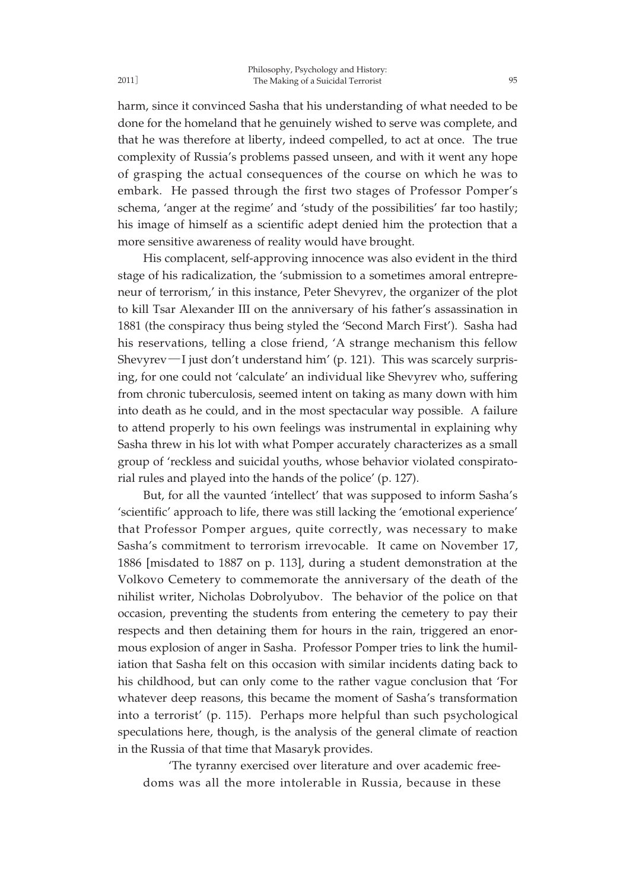harm, since it convinced Sasha that his understanding of what needed to be done for the homeland that he genuinely wished to serve was complete, and that he was therefore at liberty, indeed compelled, to act at once. The true complexity of Russia's problems passed unseen, and with it went any hope of grasping the actual consequences of the course on which he was to embark. He passed through the first two stages of Professor Pomper's schema, 'anger at the regime' and 'study of the possibilities' far too hastily; his image of himself as a scientific adept denied him the protection that a more sensitive awareness of reality would have brought.

His complacent, self-approving innocence was also evident in the third stage of his radicalization, the 'submission to a sometimes amoral entrepreneur of terrorism,' in this instance, Peter Shevyrev, the organizer of the plot to kill Tsar Alexander III on the anniversary of his father's assassination in 1881 (the conspiracy thus being styled the 'Second March First'). Sasha had his reservations, telling a close friend, 'A strange mechanism this fellow Shevyrev―I just don't understand him' (p. 121). This was scarcely surprising, for one could not 'calculate' an individual like Shevyrev who, suffering from chronic tuberculosis, seemed intent on taking as many down with him into death as he could, and in the most spectacular way possible. A failure to attend properly to his own feelings was instrumental in explaining why Sasha threw in his lot with what Pomper accurately characterizes as a small group of 'reckless and suicidal youths, whose behavior violated conspiratorial rules and played into the hands of the police' (p. 127).

But, for all the vaunted 'intellect' that was supposed to inform Sasha's 'scientific' approach to life, there was still lacking the 'emotional experience' that Professor Pomper argues, quite correctly, was necessary to make Sasha's commitment to terrorism irrevocable. It came on November 17, 1886 [misdated to 1887 on p. 113], during a student demonstration at the Volkovo Cemetery to commemorate the anniversary of the death of the nihilist writer, Nicholas Dobrolyubov. The behavior of the police on that occasion, preventing the students from entering the cemetery to pay their respects and then detaining them for hours in the rain, triggered an enormous explosion of anger in Sasha. Professor Pomper tries to link the humiliation that Sasha felt on this occasion with similar incidents dating back to his childhood, but can only come to the rather vague conclusion that 'For whatever deep reasons, this became the moment of Sasha's transformation into a terrorist' (p. 115). Perhaps more helpful than such psychological speculations here, though, is the analysis of the general climate of reaction in the Russia of that time that Masaryk provides.

'The tyranny exercised over literature and over academic freedoms was all the more intolerable in Russia, because in these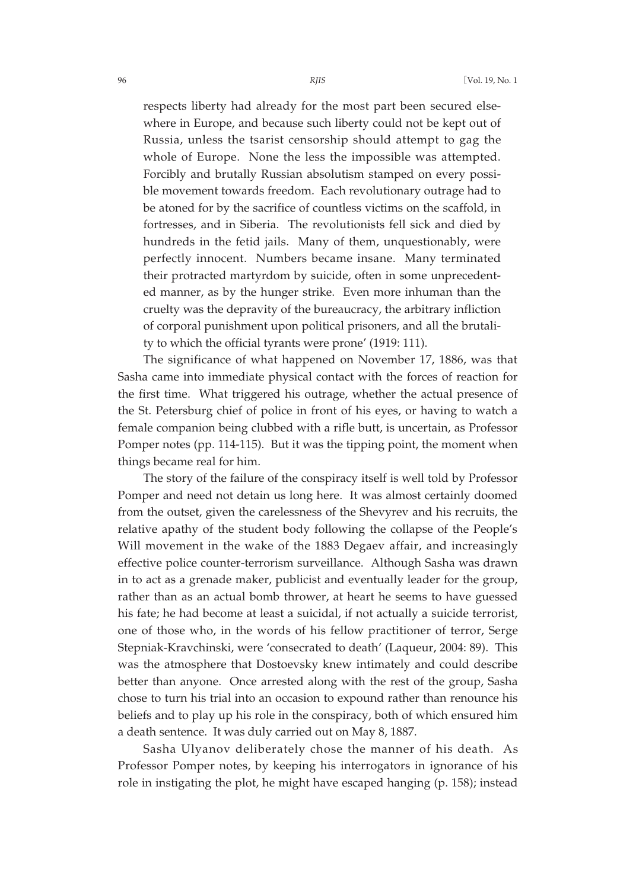respects liberty had already for the most part been secured elsewhere in Europe, and because such liberty could not be kept out of Russia, unless the tsarist censorship should attempt to gag the whole of Europe. None the less the impossible was attempted. Forcibly and brutally Russian absolutism stamped on every possible movement towards freedom. Each revolutionary outrage had to be atoned for by the sacrifice of countless victims on the scaffold, in fortresses, and in Siberia. The revolutionists fell sick and died by hundreds in the fetid jails. Many of them, unquestionably, were perfectly innocent. Numbers became insane. Many terminated their protracted martyrdom by suicide, often in some unprecedented manner, as by the hunger strike. Even more inhuman than the cruelty was the depravity of the bureaucracy, the arbitrary infliction of corporal punishment upon political prisoners, and all the brutality to which the official tyrants were prone' (1919: 111).

The significance of what happened on November 17, 1886, was that Sasha came into immediate physical contact with the forces of reaction for the first time. What triggered his outrage, whether the actual presence of the St. Petersburg chief of police in front of his eyes, or having to watch a female companion being clubbed with a rifle butt, is uncertain, as Professor Pomper notes (pp. 114-115). But it was the tipping point, the moment when things became real for him.

The story of the failure of the conspiracy itself is well told by Professor Pomper and need not detain us long here. It was almost certainly doomed from the outset, given the carelessness of the Shevyrev and his recruits, the relative apathy of the student body following the collapse of the People's Will movement in the wake of the 1883 Degaev affair, and increasingly effective police counter-terrorism surveillance. Although Sasha was drawn in to act as a grenade maker, publicist and eventually leader for the group, rather than as an actual bomb thrower, at heart he seems to have guessed his fate; he had become at least a suicidal, if not actually a suicide terrorist, one of those who, in the words of his fellow practitioner of terror, Serge Stepniak-Kravchinski, were 'consecrated to death' (Laqueur, 2004: 89). This was the atmosphere that Dostoevsky knew intimately and could describe better than anyone. Once arrested along with the rest of the group, Sasha chose to turn his trial into an occasion to expound rather than renounce his beliefs and to play up his role in the conspiracy, both of which ensured him a death sentence. It was duly carried out on May 8, 1887.

Sasha Ulyanov deliberately chose the manner of his death. As Professor Pomper notes, by keeping his interrogators in ignorance of his role in instigating the plot, he might have escaped hanging (p. 158); instead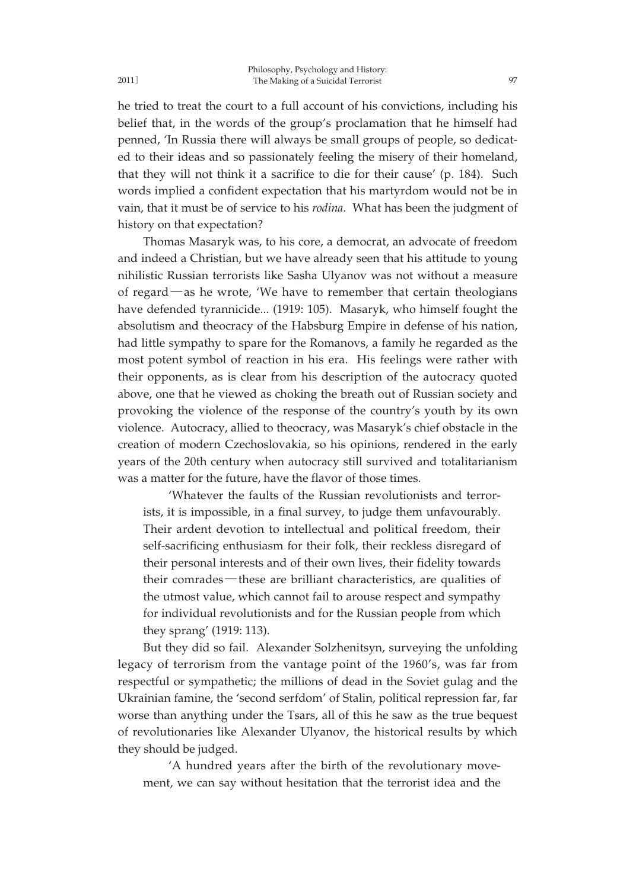he tried to treat the court to a full account of his convictions, including his belief that, in the words of the group's proclamation that he himself had penned, 'In Russia there will always be small groups of people, so dedicated to their ideas and so passionately feeling the misery of their homeland, that they will not think it a sacrifice to die for their cause' (p. 184). Such words implied a confident expectation that his martyrdom would not be in vain, that it must be of service to his *rodina*. What has been the judgment of history on that expectation?

Thomas Masaryk was, to his core, a democrat, an advocate of freedom and indeed a Christian, but we have already seen that his attitude to young nihilistic Russian terrorists like Sasha Ulyanov was not without a measure of regard―as he wrote, 'We have to remember that certain theologians have defended tyrannicide... (1919: 105). Masaryk, who himself fought the absolutism and theocracy of the Habsburg Empire in defense of his nation, had little sympathy to spare for the Romanovs, a family he regarded as the most potent symbol of reaction in his era. His feelings were rather with their opponents, as is clear from his description of the autocracy quoted above, one that he viewed as choking the breath out of Russian society and provoking the violence of the response of the country's youth by its own violence. Autocracy, allied to theocracy, was Masaryk's chief obstacle in the creation of modern Czechoslovakia, so his opinions, rendered in the early years of the 20th century when autocracy still survived and totalitarianism was a matter for the future, have the flavor of those times.

'Whatever the faults of the Russian revolutionists and terrorists, it is impossible, in a final survey, to judge them unfavourably. Their ardent devotion to intellectual and political freedom, their self-sacrificing enthusiasm for their folk, their reckless disregard of their personal interests and of their own lives, their fidelity towards their comrades―these are brilliant characteristics, are qualities of the utmost value, which cannot fail to arouse respect and sympathy for individual revolutionists and for the Russian people from which they sprang' (1919: 113).

But they did so fail. Alexander Solzhenitsyn, surveying the unfolding legacy of terrorism from the vantage point of the 1960's, was far from respectful or sympathetic; the millions of dead in the Soviet gulag and the Ukrainian famine, the 'second serfdom' of Stalin, political repression far, far worse than anything under the Tsars, all of this he saw as the true bequest of revolutionaries like Alexander Ulyanov, the historical results by which they should be judged.

'A hundred years after the birth of the revolutionary movement, we can say without hesitation that the terrorist idea and the

2011]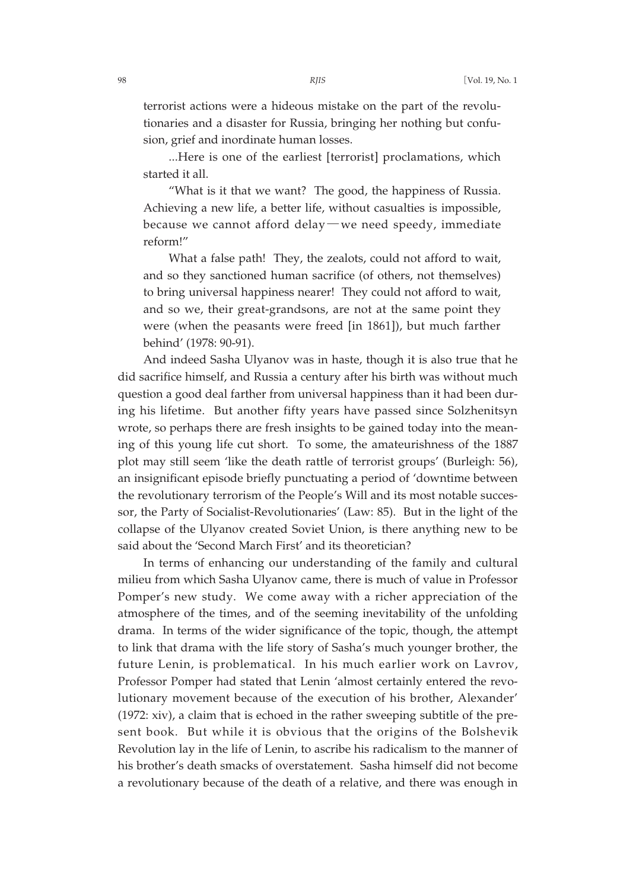terrorist actions were a hideous mistake on the part of the revolutionaries and a disaster for Russia, bringing her nothing but confusion, grief and inordinate human losses.

...Here is one of the earliest [terrorist] proclamations, which started it all.

"What is it that we want? The good, the happiness of Russia. Achieving a new life, a better life, without casualties is impossible, because we cannot afford delay―we need speedy, immediate reform!"

What a false path! They, the zealots, could not afford to wait, and so they sanctioned human sacrifice (of others, not themselves) to bring universal happiness nearer! They could not afford to wait, and so we, their great-grandsons, are not at the same point they were (when the peasants were freed [in 1861]), but much farther behind' (1978: 90-91).

And indeed Sasha Ulyanov was in haste, though it is also true that he did sacrifice himself, and Russia a century after his birth was without much question a good deal farther from universal happiness than it had been during his lifetime. But another fifty years have passed since Solzhenitsyn wrote, so perhaps there are fresh insights to be gained today into the meaning of this young life cut short. To some, the amateurishness of the 1887 plot may still seem 'like the death rattle of terrorist groups' (Burleigh: 56), an insignificant episode briefly punctuating a period of 'downtime between the revolutionary terrorism of the People's Will and its most notable successor, the Party of Socialist-Revolutionaries' (Law: 85). But in the light of the collapse of the Ulyanov created Soviet Union, is there anything new to be said about the 'Second March First' and its theoretician?

In terms of enhancing our understanding of the family and cultural milieu from which Sasha Ulyanov came, there is much of value in Professor Pomper's new study. We come away with a richer appreciation of the atmosphere of the times, and of the seeming inevitability of the unfolding drama. In terms of the wider significance of the topic, though, the attempt to link that drama with the life story of Sasha's much younger brother, the future Lenin, is problematical. In his much earlier work on Lavrov, Professor Pomper had stated that Lenin 'almost certainly entered the revolutionary movement because of the execution of his brother, Alexander' (1972: xiv), a claim that is echoed in the rather sweeping subtitle of the present book. But while it is obvious that the origins of the Bolshevik Revolution lay in the life of Lenin, to ascribe his radicalism to the manner of his brother's death smacks of overstatement. Sasha himself did not become a revolutionary because of the death of a relative, and there was enough in